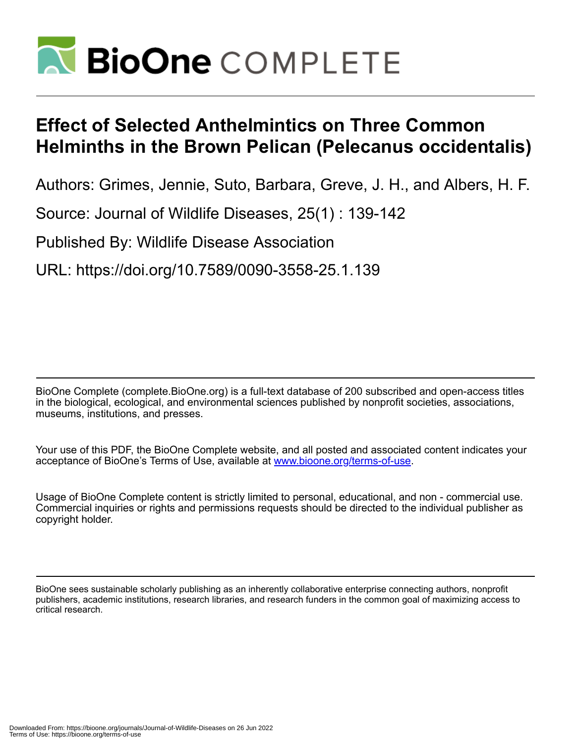

## **Effect of Selected Anthelmintics on Three Common Helminths in the Brown Pelican (Pelecanus occidentalis)**

Authors: Grimes, Jennie, Suto, Barbara, Greve, J. H., and Albers, H. F.

Source: Journal of Wildlife Diseases, 25(1) : 139-142

Published By: Wildlife Disease Association

URL: https://doi.org/10.7589/0090-3558-25.1.139

BioOne Complete (complete.BioOne.org) is a full-text database of 200 subscribed and open-access titles in the biological, ecological, and environmental sciences published by nonprofit societies, associations, museums, institutions, and presses.

Your use of this PDF, the BioOne Complete website, and all posted and associated content indicates your acceptance of BioOne's Terms of Use, available at www.bioone.org/terms-of-use.

Usage of BioOne Complete content is strictly limited to personal, educational, and non - commercial use. Commercial inquiries or rights and permissions requests should be directed to the individual publisher as copyright holder.

BioOne sees sustainable scholarly publishing as an inherently collaborative enterprise connecting authors, nonprofit publishers, academic institutions, research libraries, and research funders in the common goal of maximizing access to critical research.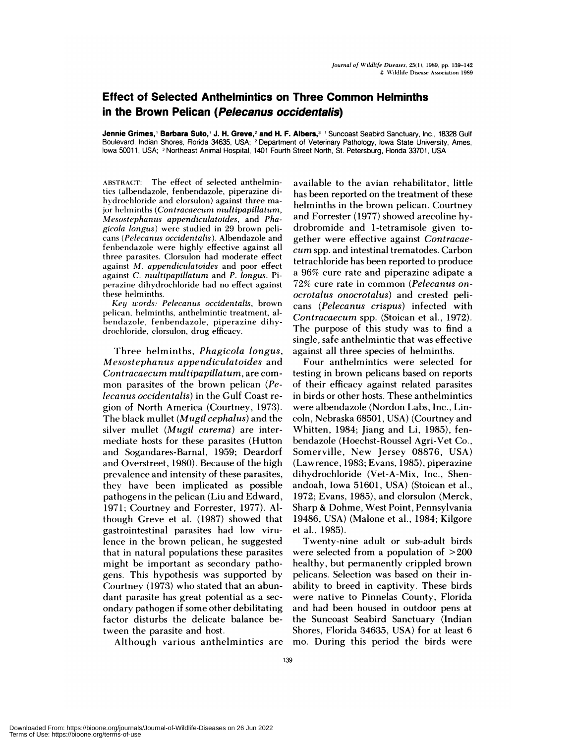## **Effect of Selected Anthelmintics on Three Common Helminths in the Brown Pelican (Pelecanus occidentalis)**

**Jennie Grimes,' Barbara Suto,' J. H. Greve,2 and H. F.** Albers,3 **<sup>1</sup>** Suncoast Seabird Sanctuary, Inc., 18328 Gulf Boulevard, Indian Shores, Rorida 34635, USA; **<sup>2</sup>** Department of Veterinary Pathology, Iowa State University, Ames, lowa 50011, USA; <sup>3</sup> Northeast Animal Hospital, 1401 Fourth Street North, St. Petersburg, Florida 33701, USA

**ABSTRACT:** The effect of selected anthelmintics (albendazole, fenbendazole, piperazine di hydrochloride and clorsulon) against three major helminths *(Contracaecurn multipapillatum, Mesostephanus appendiculatoides*, and *Phagicola longus)* were studied in 29 brown peli cans *(Pelecanus occidentalis ).* Albendazole and **fenbendazole** were highly effective against all **three parasites.** Clorsulon had moderate effect against *M. appendiculatoides* and poor effect against *C. niultipapillatum* and *P. longus.* Pi perazine dihydrochloride had no effect against these **helminths.**

*Key words: Pelecanus occidentalis,* brown pelican. helminths, anthelmintic treatment, al bendazole, fenbendazole, piperazine dihydrochloride, clorsulon, drug efficacy.

Three helminths, *Phagicola longus, Mesostephanus appendiculatoides* and *Con tracaecum multipapillatum,* are com mon parasites of the brown pelican *(Pelecanus occidentalis)* in the Gulf Coast re gion of North America (Courtney, 1973). The black mullet *(Mugil cephalus)* and the silver mullet *(Mugil curema)* are intermediate hosts for these parasites (Hutton and Sogandares-Barnal, 1959; Deardorf and Overstreet, 1980). Because of the high prevalence and intensity of these parasites, they have been implicated as possible pathogens in the pelican (Liu and Edward, 1971; Courtney and Forrester, 1977). Although Greve et al. (1987) showed that gastrointestinal parasites had low virulence in the brown pelican, he suggested that in natural populations these parasites might be important as secondary pathogens. This hypothesis was supported by Courtney (1973) who stated that an abundant parasite has great potential as a sec ondary pathogen if some other debilitating factor disturbs the delicate balance between the parasite and host.

Although various anthelmintics are

available to the avian rehabilitator, little has been reported on the treatment of these helminths in the brown pelican. Courtney and Forrester (1977) showed arecoline hydrobromide and 1-tetramisole given together were effective against *Contracae cum* spp. and intestinal trematodes. Carbon tetrachloride has been reported to produce a 96% cure rate and piperazine adipate a 72% cure rate in common *(Pelecanus on ocrotalus onocrotalus)* and crested peli cans *(Pelecanus crispus)* infected with *Contracaecum* spp. (Stoican et al., 1972). The purpose of this study was to find a **single,** safe anthelmintic that was effective **against** all three species of helminths.

Four anthelmintics were selected for testing in brown pelicans based on reports of their efficacy against related parasites in birds or other hosts. These anthelmintics were albendazole (Nordon Labs, Inc., Lincoln, Nebraska 68501, USA) (Courtney and Whitten, 1984; Jiang and Li, 1985), fenbendazole (Hoechst-Roussel Agri-Vet Co., Somerville, New Jersey 08876, USA) (Lawrence, 1983; Evans, 1985), piperazine dihydrochloride (Vet-A-Mix, Inc., Shenandoah, Iowa 51601, USA) (Stoican et al., 1972; Evans, 1985), and clorsulon (Merck, Sharp & Dohme, West Point, Pennsylvania 19486, USA) (Malone et al., 1984; Kilgore et al., 1985).

Twenty-nine adult or sub-adult birds were selected from a population of >200 healthy, but permanently crippled brown pelicans. Selection was based on their inability to breed in captivity. These birds were native to Pinnelas County, Florida and had been housed in outdoor pens at the Suncoast Seabird Sanctuary (Indian Shores, Florida 34635, USA) for at least 6 mo. During this period the birds were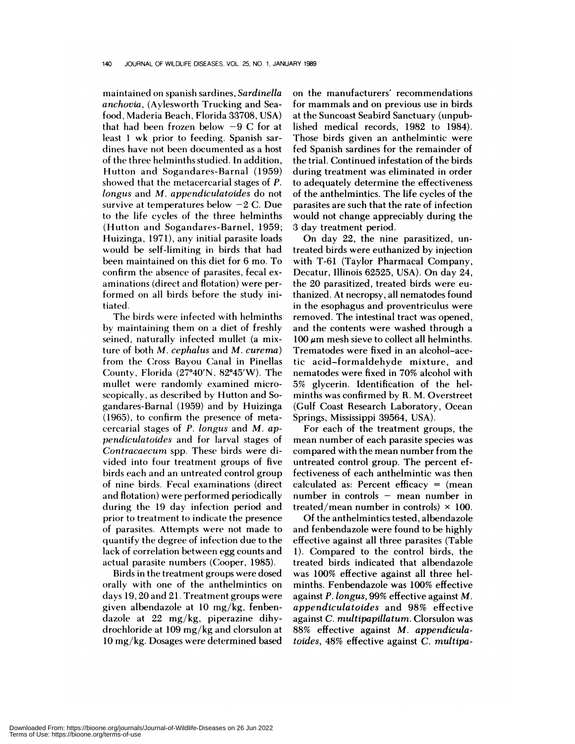maintained on spanish sardines, *Sardinella anchovia,* (Aylesworth Trucking and Seafood, Maderia Beach, Florida 33708, USA) that had been frozen below  $-9$  C for at least 1 wk prior to feeding. Spanish sar dines have not been documented as a host of the three helminths studied. In addition, Hutton and Sogandares-Barnal (1959) showed that the metacercarial stages of *P. longus* and *M. appendiculatoides* do not survive at temperatures below  $-2$  C. Due to the life cycles of the three helminths (Hutton and Sogandares-Barnel, 1959; Huizinga, 1971), any initial parasite loads would be self-limiting in birds that had been maintained on this diet for 6 mo. To confirm the absence of parasites, fecal ex aminations (direct and flotation) were performed on all birds before the study initiated.

The birds were infected with helminths by maintaining them on a diet of freshly seined, naturally infected mullet (a mixture of both *M. cephalus* and *M. curema)* from the Cross Bayou Canal in Pinellas County, Florida  $(27°40'N, 82°45'W)$ . The mullet were randomly examined microscopically, as described by Hutton and Sogandares-Barnal (1959) and by Huizinga (1965), to confirm the presence of metacercarial stages of *P. longus* and *M. appendiculatoides* and for larval stages of *Contracaecum* spp. These birds were divided into four treatment groups of five birds each and an untreated control group of nine birds. Fecal examinations (direct and flotation) were performed periodically during the 19 day infection period and prior to treatment to indicate the presence of parasites. Attempts were not made to quantify the degree of infection due to the lack of correlation between egg counts and actual parasite numbers (Cooper, 1985).

Birds in the treatment groups were dosed orally with one of the anthelmintics on days 19,20 and 21. Treatment groups were given albendazole at 10 mg/kg, fenbendazole at 22 mg/kg, piperazine dihydrochloride at 109 mg/kg and clorsulon at 10 mg/kg. Dosages were determined based on the manufacturers' recommendations for mammals and on previous use in birds at the Suncoast Seabird Sanctuary (unpublished medical records, 1982 to 1984). Those birds given an anthelmintic were fed Spanish sardines for the remainder of the trial. Continued infestation of the birds during treatment was eliminated in order to adequately determine the effectiveness of the anthelmintics. The life cycles of the parasites are such that the rate of infection would not change appreciably during the 3 day treatment period.

**On** day 22, the nine parasitized, untreated birds were euthanized by injection with T-61 (Taylor Pharmacal Company, Decatur, Illinois 62525, USA). On day 24, the 20 parasitized, treated birds were euthanized. **At necropsy,** all nematodes found in the esophagus and proventriculus were removed. The intestinal tract was opened, and the contents were washed through a  $100 \mu m$  mesh sieve to collect all helminths. Trematodes were fixed in an alcohol-acetic acid-formaldehyde mixture, and nematodes were fixed in 70% alcohol with 5% glycerin. Identification of the helminths was confirmed by R. M. Overstreet (Gulf Coast Research Laboratory, Ocean Springs, Mississippi 39564, USA).

For each of the treatment groups, the mean number of each parasite species was compared with the mean number from the untreated control group. The percent effectiveness of each anthelmintic was then calculated as: Percent efficacy = (mean number in controls  $-$  mean number in treated/mean number in controls)  $\times$  100.

Of the anthelmintics tested, albendazole and fenbendazole were found to be highly effective against all three parasites (Table 1). Compared to the control birds, the treated birds indicated that albendazole was 100% effective against all three helminths. Fenbendazole was 100% effective against *P. longus,* 99% effective against *M. appendicula toides* and 98% effective against *C. multipapillatum.* Clorsulon was 88% effective against *M. appendiculatoides,* 48% effective against *C. multipa-*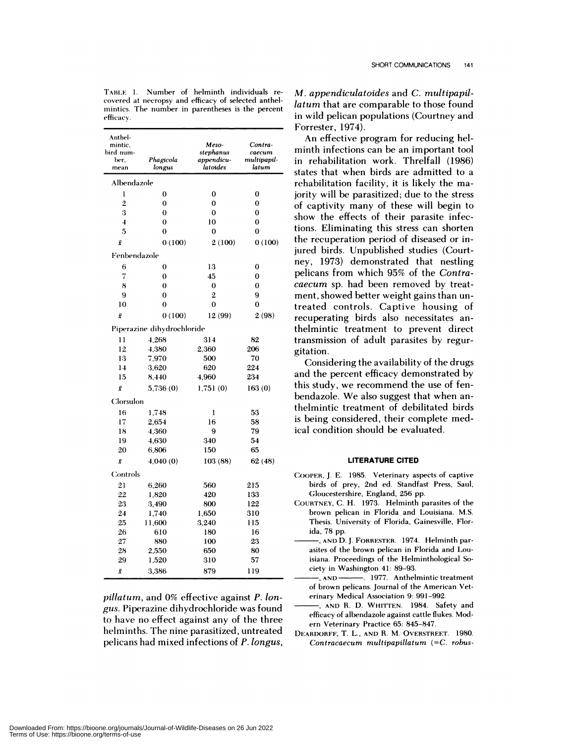| Anthel-<br>mintic,<br>bird num-<br>ber,<br>mean | Phagicola<br>longus        | Meso-<br>stephanus<br>appendicu-<br>latoides | Contra-<br>caecum<br>multipapil-<br>latum |
|-------------------------------------------------|----------------------------|----------------------------------------------|-------------------------------------------|
| Albendazole                                     |                            |                                              |                                           |
| l                                               | 0                          | $\overline{0}$                               | $\bf{0}$                                  |
| $\overline{2}$                                  | 0                          | 0                                            | 0                                         |
| 3                                               | $\bf{0}$                   | 0                                            | 0                                         |
| $\overline{\mathbf{4}}$                         | 0                          | 10                                           | 0                                         |
| 5                                               | $\overline{0}$             | $\mathbf 0$                                  | 0                                         |
| Ī                                               | 0(100)                     | 2(100)                                       | 0(100)                                    |
| Fenbendazole                                    |                            |                                              |                                           |
| 6                                               | 0                          | 13                                           | 0                                         |
| 7                                               | 0                          | 45                                           | 0                                         |
| 8                                               | 0                          | $\bf{0}$                                     | 0                                         |
| 9                                               | 0                          | $\overline{2}$                               | 9                                         |
| 10                                              | 0                          | $\mathbf 0$                                  | 0                                         |
| ī                                               | 0(100)                     | 12 (99)                                      | 2(98)                                     |
|                                                 | Piperazine dihydrochloride |                                              |                                           |
| 11                                              | 4.268                      | 314                                          | 82                                        |
| 12                                              | 4,380                      | 2,360                                        | 206                                       |
| 13                                              | 7,970                      | 500                                          | 70                                        |
| 14                                              | 3,620                      | 620                                          | 224                                       |
| 15                                              | 8,440                      | 4.960                                        | 234                                       |
| Ī                                               | 5,736(0)                   | 1,751(0)                                     | 163(0)                                    |
| Clorsulon                                       |                            |                                              |                                           |
| 16                                              | 1,748                      | l                                            | 53                                        |
| 17                                              | 2,654                      | 16                                           | 58                                        |
| 18                                              | 4,360                      | 9                                            | 79                                        |
| 19                                              | 4,630                      | 340                                          | 54                                        |
| 20                                              | 6,806                      | 150                                          | 65                                        |
| ī                                               | 4,040(0)                   | 103 (88)                                     | 62 (48)                                   |
| Controls                                        |                            |                                              |                                           |
| 21                                              | 6.260                      | 560                                          | 215                                       |
| 22                                              | 1,820                      | 420                                          | 133                                       |
| 23                                              | 3,490                      | 800                                          | 122                                       |
| 24                                              | 1,740                      | 1,650                                        | 310                                       |
| 25                                              | 11,600                     | 3,240                                        | 115                                       |
| 26<br>27                                        | 610<br>880                 | 180<br>100                                   | 16<br>23                                  |
| 28                                              | 2,550                      | 650                                          | 80                                        |
| 29                                              | 1,520                      | 310                                          | 57                                        |
|                                                 | 3,386                      | 879                                          |                                           |

TABLE 1. Number of helminth individuals re covered at necropsy and efficacy of selected anthel mintics. The number in parentheses is the percent efficacy.

*pillatum,* and 0% effective against *P. iongus.* Piperazine dihydrochloride was found to have no effect against any of the three helminths. The nine parasitized, untreated pelicans had mixed infections of *P. longus,*

*M. appendiculatoides* and *C.multipapillatum* that are comparable to those found in wild pelican populations (Courtney and Forrester, 1974).

An effective program for reducing helminth infections can be an important tool in rehabilitation work. Threlfall (1986) states that when birds are admitted to a rehabilitation facility, it is likely the majority will be parasitized; due to the stress <sup>2</sup> of captivity many of these will begin to **:** show the effects of their parasite infec tions. Eliminating this stress can shorten the recuperation period of diseased or injured birds. Unpublished studies (Court ney, 1973) demonstrated that nestling pelicans from which 95% of the *Contra caecum* sp. had been removed by treatment, showed better weight gains than untreated controls. Captive housing of recuperating birds also necessitates anthelmintic treatment to prevent direct transmission of adult parasites by regurgitation.

Considering the availability of the drugs and the percent efficacy demonstrated by this study, we recommend the use of fenbendazole. We also suggest that when anthelmintic treatment of debilitated birds is being considered, their complete medical condition should be evaluated.

## **LITERATURE CITED**

- COOPER, J. E. 1985. Veterinary aspects of captive birds of prey, 2nd ed. Standfast Press, Saul, Gloucestershire, England, 256 pp.
- COURTNEY, C. H. 1973. Helminth parasites of the brown pelican in Florida and Louisiana. M.S. Thesis. University of Florida, Gainesville, Florida, 78 pp.
- 23 , **AND** D.J. FORRESTER. 1974. Helminth par asites of the brown pelican in Florida and Louisiana. Proceedings of the Helminthological Society in Washington 41: 89-93.<br>  $\longrightarrow$ , AND  $\longrightarrow$ , 1977. Anthel
- $-$ . 1977. Anthelmintic treatment of brown pelicans. Journal of the American Vet erinary Medical Association 9: 991-992.
- **AND** R. D. WHITTEN. 1984. Safety and efficacy of albendazole against cattle flukes. Mod ern Veterinary Practice 65: 845-847.
- DEARDORFF, T. L., **AND** R. M. OVERSTREET. 1980. Contracaecum multipapillatum (=C. *robus-*